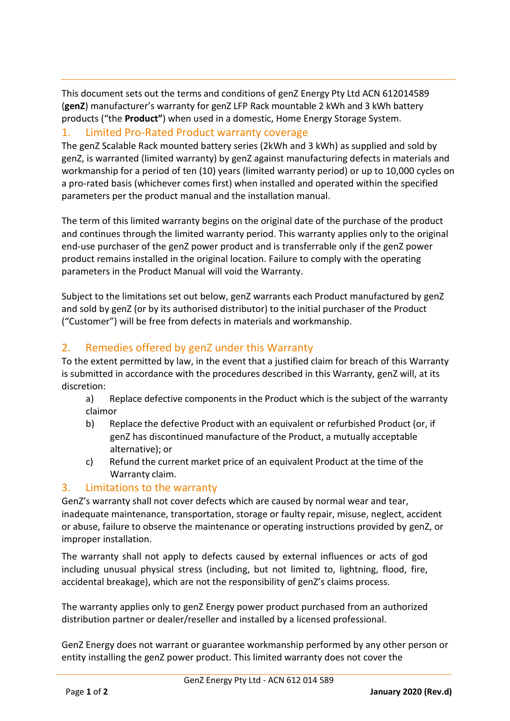This document sets out the terms and conditions of genZ Energy Pty Ltd ACN 612014589 (**genZ**) manufacturer's warranty for genZ LFP Rack mountable 2 kWh and 3 kWh battery products ("the **Product"**) when used in a domestic, Home Energy Storage System.

#### 1. Limited Pro-Rated Product warranty coverage

The genZ Scalable Rack mounted battery series (2kWh and 3 kWh) as supplied and sold by genZ, is warranted (limited warranty) by genZ against manufacturing defects in materials and workmanship for a period of ten (10) years (limited warranty period) or up to 10,000 cycles on a pro-rated basis (whichever comes first) when installed and operated within the specified parameters per the product manual and the installation manual.

The term of this limited warranty begins on the original date of the purchase of the product and continues through the limited warranty period. This warranty applies only to the original end-use purchaser of the genZ power product and is transferrable only if the genZ power product remains installed in the original location. Failure to comply with the operating parameters in the Product Manual will void the Warranty.

Subject to the limitations set out below, genZ warrants each Product manufactured by genZ and sold by genZ (or by its authorised distributor) to the initial purchaser of the Product ("Customer") will be free from defects in materials and workmanship.

# 2. Remedies offered by genZ under this Warranty

To the extent permitted by law, in the event that a justified claim for breach of this Warranty is submitted in accordance with the procedures described in this Warranty, genZ will, at its discretion:

- a) Replace defective components in the Product which is the subject of the warranty claimor
- b) Replace the defective Product with an equivalent or refurbished Product (or, if genZ has discontinued manufacture of the Product, a mutually acceptable alternative); or
- c) Refund the current market price of an equivalent Product at the time of the Warranty claim.

## 3. Limitations to the warranty

GenZ's warranty shall not cover defects which are caused by normal wear and tear, inadequate maintenance, transportation, storage or faulty repair, misuse, neglect, accident or abuse, failure to observe the maintenance or operating instructions provided by genZ, or improper installation.

The warranty shall not apply to defects caused by external influences or acts of god including unusual physical stress (including, but not limited to, lightning, flood, fire, accidental breakage), which are not the responsibility of genZ's claims process.

The warranty applies only to genZ Energy power product purchased from an authorized distribution partner or dealer/reseller and installed by a licensed professional.

GenZ Energy does not warrant or guarantee workmanship performed by any other person or entity installing the genZ power product. This limited warranty does not cover the